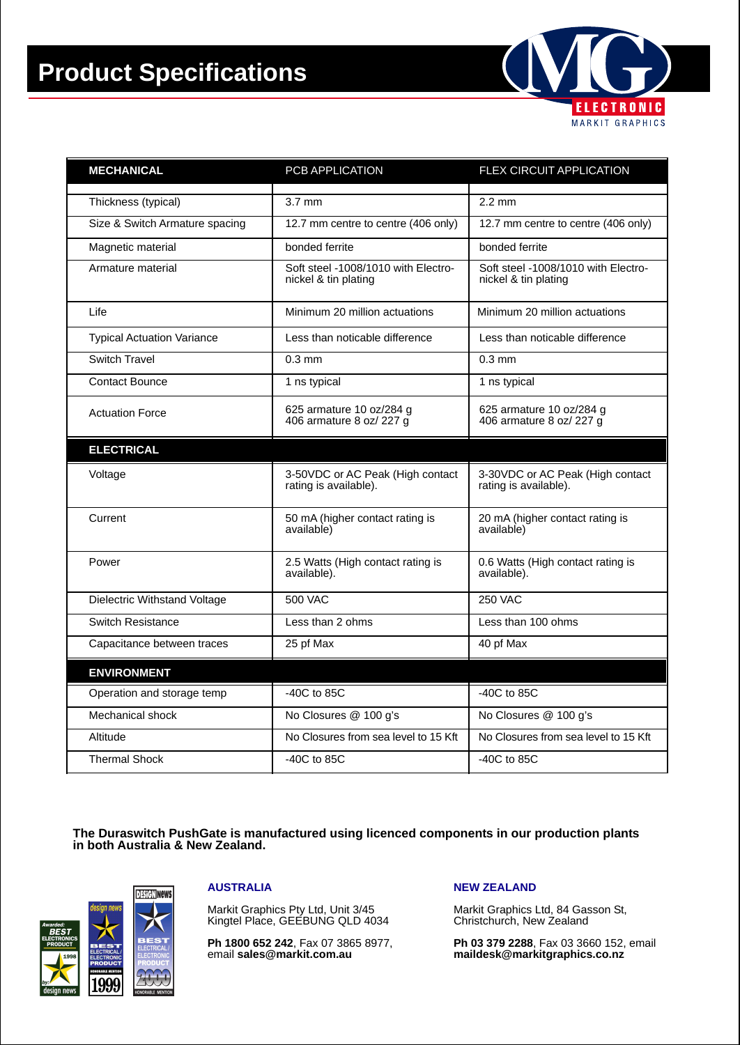# **Product Specifications**



| <b>MECHANICAL</b>                 | PCB APPLICATION                                             | FLEX CIRCUIT APPLICATION                                    |
|-----------------------------------|-------------------------------------------------------------|-------------------------------------------------------------|
| Thickness (typical)               | $3.7 \text{ mm}$                                            | $2.2 \text{ mm}$                                            |
|                                   |                                                             |                                                             |
| Size & Switch Armature spacing    | 12.7 mm centre to centre (406 only)                         | 12.7 mm centre to centre (406 only)                         |
| Magnetic material                 | bonded ferrite                                              | bonded ferrite                                              |
| Armature material                 | Soft steel -1008/1010 with Electro-<br>nickel & tin plating | Soft steel -1008/1010 with Electro-<br>nickel & tin plating |
| Life                              | Minimum 20 million actuations                               | Minimum 20 million actuations                               |
| <b>Typical Actuation Variance</b> | Less than noticable difference                              | Less than noticable difference                              |
| <b>Switch Travel</b>              | $0.3$ mm                                                    | $0.3$ mm                                                    |
| <b>Contact Bounce</b>             | 1 ns typical                                                | 1 ns typical                                                |
| <b>Actuation Force</b>            | 625 armature 10 oz/284 g<br>406 armature 8 oz/ 227 g        | 625 armature 10 oz/284 g<br>406 armature 8 oz/ 227 g        |
| <b>ELECTRICAL</b>                 |                                                             |                                                             |
| Voltage                           | 3-50VDC or AC Peak (High contact<br>rating is available).   | 3-30VDC or AC Peak (High contact<br>rating is available).   |
| Current                           | 50 mA (higher contact rating is<br>available)               | 20 mA (higher contact rating is<br>available)               |
| Power                             | 2.5 Watts (High contact rating is<br>available).            | 0.6 Watts (High contact rating is<br>available).            |
| Dielectric Withstand Voltage      | <b>500 VAC</b>                                              | <b>250 VAC</b>                                              |
| <b>Switch Resistance</b>          | Less than 2 ohms                                            | Less than 100 ohms                                          |
| Capacitance between traces        | 25 pf Max                                                   | 40 pf Max                                                   |
| <b>ENVIRONMENT</b>                |                                                             |                                                             |
| Operation and storage temp        | -40C to 85C                                                 | -40C to 85C                                                 |
| Mechanical shock                  | No Closures @ 100 g's                                       | No Closures @ 100 g's                                       |
| Altitude                          | No Closures from sea level to 15 Kft                        | No Closures from sea level to 15 Kft                        |
| <b>Thermal Shock</b>              | $-40C$ to 85C                                               | -40C to 85C                                                 |

**The Duraswitch PushGate is manufactured using licenced components in our production plants in both Australia & New Zealand.**



#### **AUSTRALIA**

Markit Graphics Pty Ltd, Unit 3/45 Kingtel Place, GEEBUNG QLD 4034

**Ph 1800 652 242**, Fax 07 3865 8977, email **sales@markit.com.au**

#### **NEW ZEALAND**

Markit Graphics Ltd, 84 Gasson St, Christchurch, New Zealand

**Ph 03 379 2288**, Fax 03 3660 152, email **maildesk@markitgraphics.co.nz**